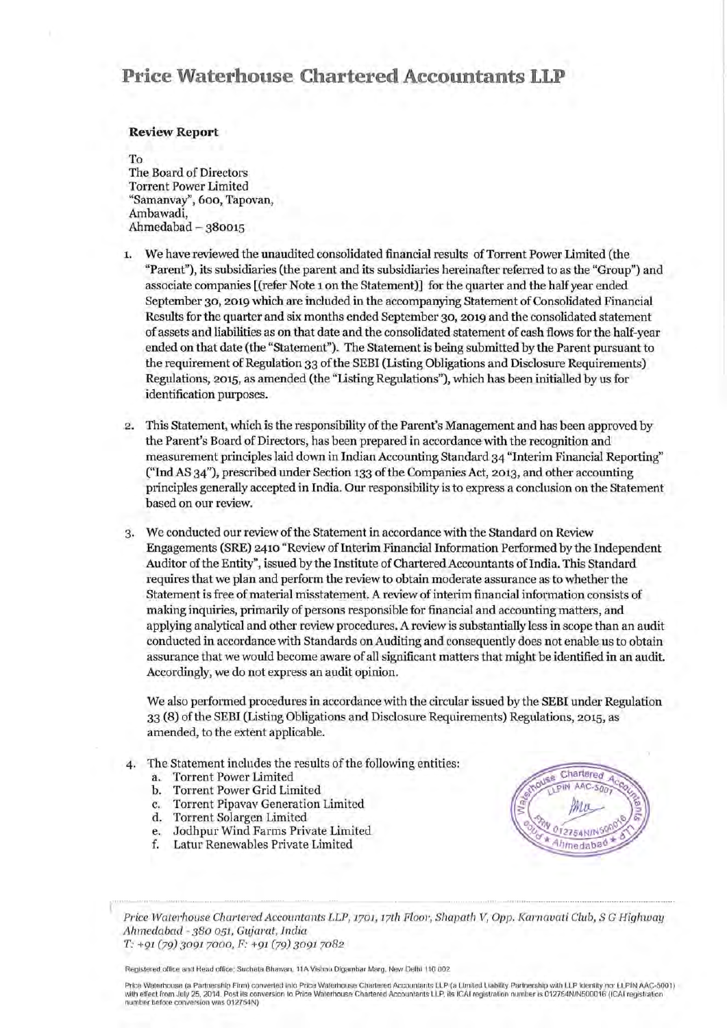# **Price Waterhouse Chartered Accountants LLP**

#### **Review Report**

To The Board of Directors Torrent Power Limited "Samanvay", 600, Tapovan, Ambawadi,  $Ahmedabad - 380015$ 

- 1. We have reviewed the unaudited consolidated financial results of Torrent Power Limited (the "Parent"), its subsidiaries (the parent and its subsidiaries hereinafter referred to as the "Group") and associate companies [(refer Note 1 on the Statement)] for the quarter and the half year ended September 30, 2019 which are included in the accompanying Statement of Consolidated Financial Results for the quarter and six months ended September 30, 2019 and the consolidated statement of assets and liabilities as on that date and the consolidated statement of cash flows for the half-year ended on that date (the "Statement"). The Statement is being submitted by the Parent pursuant to the requirement of Regulation 33 of the SEBI (Listing Obligations and Disclosure Requirements) Regulations, 2015, as amended (the "Listing Regulations"), which has been initialled by us for identification purposes.
- 2 . This Statement, which is the responsibility of the Parent's Management and has been approved by the Parent's Board of Directors, has been prepared in accordance with the recognition and measurement principles laid down in Indian Accounting Standard 34 "Interim Financial Reporting" (''Ind AS 34"), prescribed under Section 133 of the Companies Act, 2013, and other accounting principles generally accepted in India. Our responsibility is to express a conclusion on the Statement based on our review.
- 3. We conducted our review of the Statement in accordance with the Standard on Review Engagements (SRE) 2410 "Review of Interim Financial Information Performed by the Independent Auditor of the Entity", issued by the Institute of Chartered Accountants of India. This Standard requires that we plan and perform the review to obtain moderate assurance as to whether the Statement is free of material misstatement. A review of interim financial information consists of making inquiries, primarily of persons responsible for financial and accounting matters, and applying analytical and other review procedures. A review is substantially less in scope than an audit conducted in accordance with Standards on Auditing and consequently does not enable us to obtain assurance that we would become aware of all significant matters that might be identified in an audit. Accordingly, we do not express an audit opinion.

We also performed procedures in accordance with the circular issued by the SEBI under Regulation 33 (8) of the SEBI (Listing Obligations and Disclosure Requirements) Regulations, 2015, as amended, to the extent applicable.

- 4. The Statement includes the results of the following entities:
	- a. Torrent Power Limited
	- b. Torrent Power Grid Limited
	- c. Torrent Pipavav Generation Limited
	- d. Torrent Solargen Limited
	- e. Jodhpur Wind Farms Private Limited
	- f. Latur Renewables Private Limited



*P1·ice Waterhouse Chartered Accountants LLP, 1701, 17th Floor, Shapath V, Opp. Kam avati Ch1b, S G Highway Ahmedabad* - *380 051, Gujarat, India T: +91 (79) 3091 7000, F: +91 (79) 3091 7082* 

Registered office and Head office: Sucheta Bhawan, 11A Vishnu Digambar Marg, New Delhi 110 002

Price Waterhouse (a Partnership Firm) converted into Price Waterhouse Chartered Accountants LLP (a Limited Liability Partnership with LLP idenlity no: LLPIN AAC-5001) with effect from July 25, 2014. Post its conversion to Price Waterhouse Chartered Accountants LLP, its ICAI registration number is 01 2754N/N500016 (ICAI registration **number before conversion was 012754N)**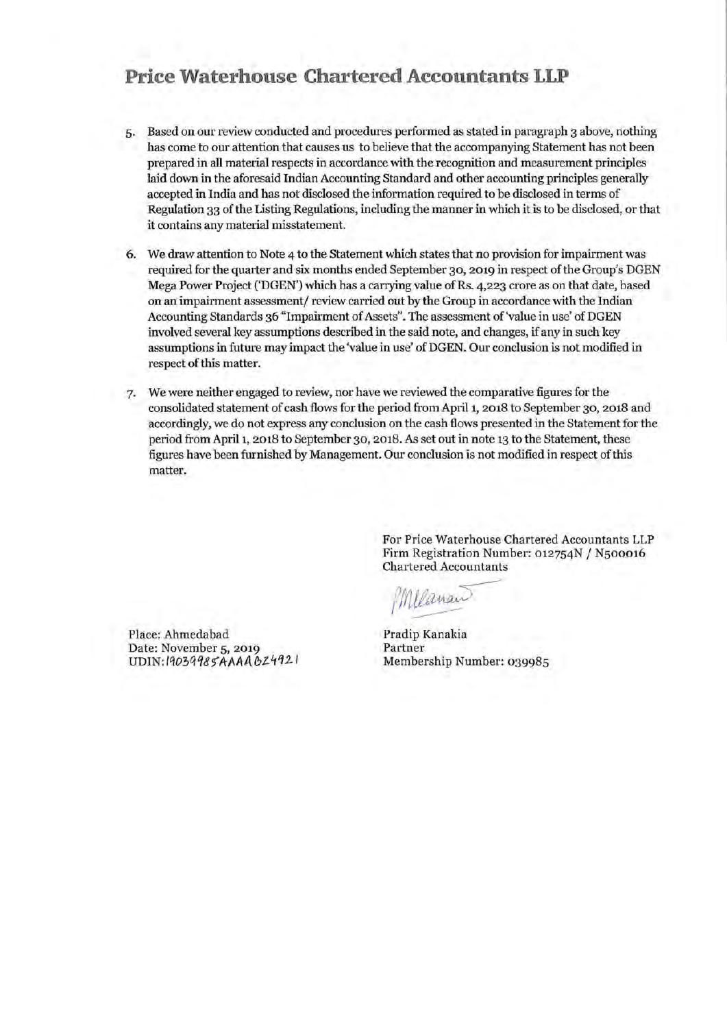## **Price Waterhouse Chartered Accountants LLP**

- 5. Based on our review conducted and procedures performed as stated in paragraph 3 above, nothing has come to our attention that causes us to believe that the accompanying Statement has not been prepared in all material respects in accordance with the recognition and measurement principles laid down in the aforesaid Indian Accounting Standard and other accounting principles generally accepted in India and has not disclosed the information required to be disclosed in terms of Regulation 33 of the Listing Regulations, including the manner in which it is to be disclosed, or that it contains any material misstatement.
- 6. We draw attention to Note 4 to the Statement which states that no provision for impairment was required for the quarter and six months ended September 30, 2019 in respect of the Group's DGEN Mega Power Project ('DGEN') which has a carrying value of Rs. 4,223 crore as on that date, based on an impairment assessment/ review carried out by the Group in accordance with the Indian Accounting Standards 36 "Impairment of Assets". The assessment of 'value in use' of DGEN involved several key assumptions described in the said note, and changes, if any in such key assumptions in future may impact the 'value in use' of DGEN. Our conclusion is not modified in respect of this matter.
- 7. We were neither engaged to review, nor have we reviewed the comparative figures for the consolidated statement of cash flows for the period from April 1, 2018 to September 30, 2018 and accordingly, we do not express any conclusion on the cash flows presented in the Statement for the period from April 1, 2018 to September 30, 2018. As set out in note 13 to the Statement, these figures have been furnished by Management. Our conclusion is not modified in respect of this matter.

For Price Waterhouse Chartered Accountants LLP Firm Registration Number: 012754N / N500016 Chartered Accountants

Melanan

Pradip Kanakia Partner Membership Number: 039985

Place: Ahmedabad Date: November 5, 2019 UDIN: 19039985AAAA 624921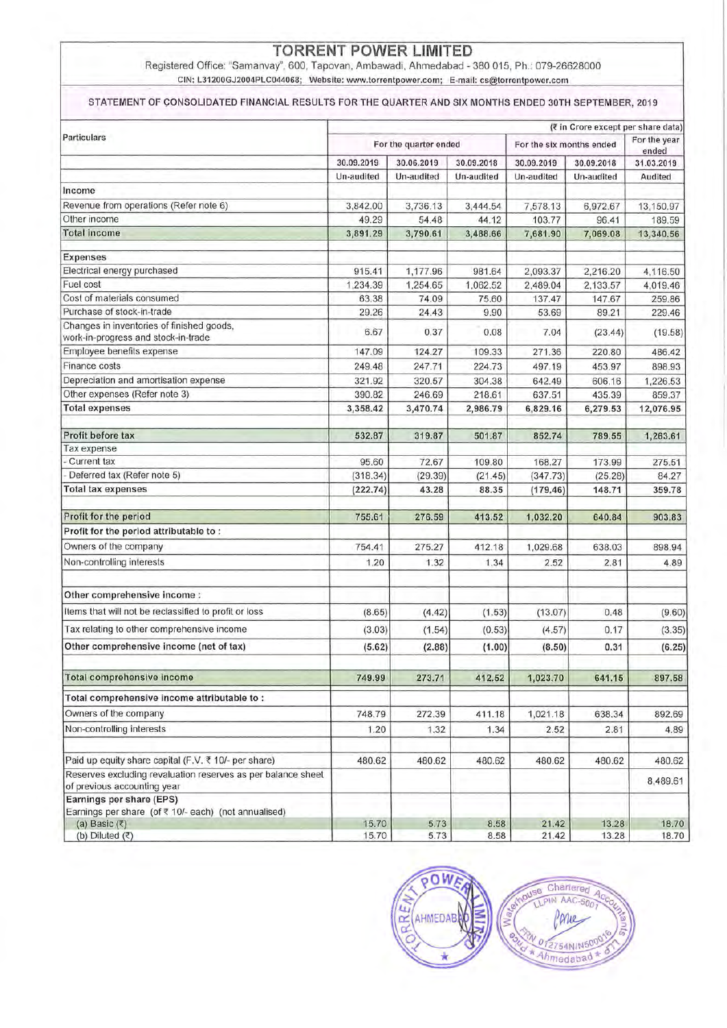### **TORRENT POWER LIMITED**

Registered Office: "Samanvay", 600, Tapovan, Ambawadi, Ahmedabad - 380 015, Ph.: 079-26628000 CIN: L31200GJ2004PLC044068; Website: www.torrentpower.com; E-mail: cs@torrentpower.com

### STATEMENT OF CONSOLIDATED FINANCIAL RESULTS FOR THE QUARTER AND SIX MONTHS ENDED 30TH SEPTEMBER, 2019

|                                                                                  | (₹ in Crore except per share data) |                       |            |                          |            |                       |  |
|----------------------------------------------------------------------------------|------------------------------------|-----------------------|------------|--------------------------|------------|-----------------------|--|
| Particulars                                                                      |                                    | For the quarter ended |            | For the six months ended |            | For the year<br>ended |  |
|                                                                                  | 30.09.2019                         | 30.06.2019            | 30.09.2018 | 30.09.2019               | 30.09.2018 | 31.03.2019            |  |
|                                                                                  | Un-audited                         | Un-audited            | Un-audited | Un-audited               | Un-audited | Audited               |  |
| Income                                                                           |                                    |                       |            |                          |            |                       |  |
| Revenue from operations (Refer note 6)                                           | 3,842.00                           | 3,736.13              | 3,444.54   | 7,578.13                 | 6,972.67   | 13,150.97             |  |
| Other income                                                                     | 49.29                              | 54.48                 | 44.12      | 103.77                   | 96.41      | 189.59                |  |
| <b>Total income</b>                                                              | 3,891.29                           | 3,790.61              | 3,488.66   | 7,681.90                 | 7,069.08   | 13,340.56             |  |
| Expenses                                                                         |                                    |                       |            |                          |            |                       |  |
| Electrical energy purchased                                                      | 915.41                             | 1,177.96              | 981.64     | 2,093.37                 | 2,216.20   | 4,116.50              |  |
| Fuel cost                                                                        | 1,234.39                           | 1,254.65              | 1,062.52   | 2,489.04                 | 2,133.57   | 4,019.46              |  |
| Cost of materials consumed                                                       | 63.38                              | 74.09                 | 75.60      | 137.47                   | 147.67     | 259.86                |  |
| Purchase of stock-in-trade                                                       | 29.26                              | 24.43                 | 9.90       | 53.69                    | 89.21      | 229.46                |  |
| Changes in inventories of finished goods,<br>work-in-progress and stock-in-trade | 6.67                               | 0.37                  | 0.08       | 7.04                     | (23.44)    | (19.58)               |  |
| Employee benefits expense                                                        | 147.09                             | 124.27                | 109.33     | 271.36                   | 220.80     | 486.42                |  |
| Finance costs                                                                    | 249.48                             | 247.71                | 224.73     | 497.19                   | 453.97     | 898.93                |  |
| Depreciation and amortisation expense                                            | 321.92                             | 320.57                | 304.38     | 642.49                   | 606.16     | 1,226.53              |  |
| Other expenses (Refer note 3)                                                    | 390.82                             | 246.69                | 218.61     | 637.51                   | 435.39     | 859.37                |  |
| <b>Total expenses</b>                                                            | 3,358.42                           | 3,470.74              | 2,986.79   | 6,829.16                 | 6,279.53   | 12,076.95             |  |
| Profit before tax                                                                | 532.87                             | 319.87                | 501.87     | 852.74                   | 789.55     | 1,263.61              |  |
| Tax expense                                                                      |                                    |                       |            |                          |            |                       |  |
| <b>Current tax</b>                                                               | 95.60                              | 72.67                 | 109.80     | 168.27                   | 173.99     | 275.51                |  |
| Deferred tax (Refer note 5)                                                      | (318.34)                           | (29.39)               | (21.45)    | (347.73)                 | (25.28)    | 84.27                 |  |
| <b>Total tax expenses</b>                                                        | (222.74)                           | 43.28                 | 88.35      | (179.46)                 | 148.71     | 359.78                |  |
| Profit for the period                                                            | 755.61                             | 276.59                | 413.52     | 1,032.20                 | 640.84     | 903.83                |  |
| Profit for the period attributable to:                                           |                                    |                       |            |                          |            |                       |  |
| Owners of the company                                                            | 754.41                             | 275.27                | 412.18     | 1,029.68                 | 638.03     | 898.94                |  |
| Non-controlling interests                                                        | 1.20                               | 1.32                  | 1.34       | 2.52                     | 2.81       | 4.89                  |  |
|                                                                                  |                                    |                       |            |                          |            |                       |  |
| Other comprehensive income :                                                     |                                    |                       |            |                          |            |                       |  |
| Items that will not be reclassified to profit or loss                            | (8.65)                             | (4.42)                | (1.53)     | (13.07)                  | 0.48       | (9.60)                |  |
| Tax relating to other comprehensive income                                       | (3.03)                             | (1.54)                | (0.53)     | (4.57)                   | 0.17       | (3.35)                |  |
| Other comprehensive income (net of tax)                                          | (5.62)                             | (2.88)                | (1.00)     | (8.50)                   | 0.31       | (6.25)                |  |
| Total comprehensive income                                                       | 749.99                             | 273.71                | 412.52     | 1,023.70                 | 641.15     | 897.58                |  |
| Total comprehensive income attributable to:                                      |                                    |                       |            |                          |            |                       |  |
| Owners of the company                                                            |                                    | 272.39                |            |                          |            |                       |  |
|                                                                                  | 748.79                             |                       | 411.18     | 1,021.18                 | 638.34     | 892.69                |  |
| Non-controlling interests                                                        | 1.20                               | 1.32                  | 1.34       | 2.52                     | 2.81       | 4.89                  |  |
| Paid up equity share capital (F.V. ₹ 10/- per share)                             | 480.62                             | 480.62                | 480.62     | 480.62                   | 480.62     | 480.62                |  |
| Reserves excluding revaluation reserves as per balance sheet                     |                                    |                       |            |                          |            |                       |  |
| of previous accounting year                                                      |                                    |                       |            |                          |            | 8,489.61              |  |
| Earnings per share (EPS)                                                         |                                    |                       |            |                          |            |                       |  |
| Earnings per share (of ₹ 10/- each) (not annualised)                             |                                    |                       |            |                          |            |                       |  |
| (a) Basic $(3)$                                                                  | 15.70                              | 5.73                  | 8.58       | 21.42                    | 13.28      | 18.70                 |  |
| (b) Diluted $(3)$                                                                | 15.70                              | 5.73                  | 8.58       | 21.42                    | 13.28      | 18.70                 |  |

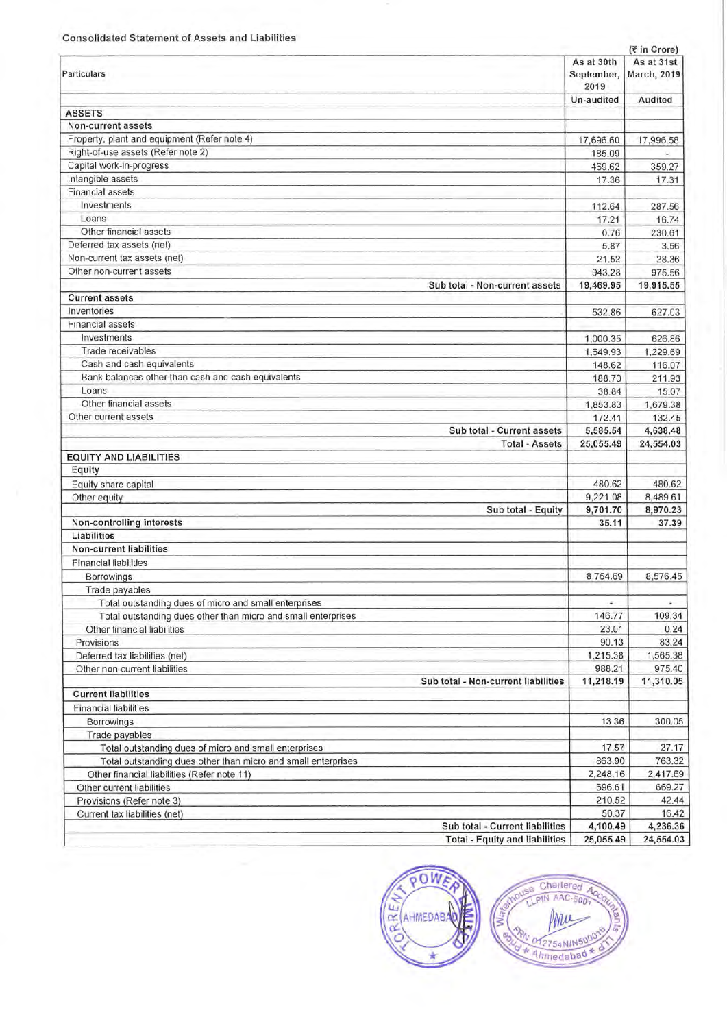### Consolidated Statement of Assets and Liabilities

|                                                                      |                          | (₹ in Crore)              |
|----------------------------------------------------------------------|--------------------------|---------------------------|
| As at 30th<br>Particulars<br>September,                              |                          | As at 31st<br>March, 2019 |
|                                                                      | Un-audited               | Audited                   |
| <b>ASSETS</b>                                                        |                          |                           |
| Non-current assets                                                   |                          |                           |
| Property, plant and equipment (Refer note 4)                         | 17,696.60                | 17,996.58                 |
| Right-of-use assets (Refer note 2)                                   | 185.09                   |                           |
| Capital work-in-progress                                             | 469.62                   | 359.27                    |
| Intangible assets                                                    | 17.36                    | 17.31                     |
| <b>Financial assets</b>                                              |                          |                           |
| Investments                                                          | 112.64                   | 287.56                    |
| Loans                                                                | 17.21                    | 16.74                     |
| Other financial assets                                               | 0.76                     | 230.61                    |
| Deferred tax assets (net)                                            | 5.87                     | 3.56                      |
| Non-current tax assets (net)                                         | 21.52                    | 28.36                     |
| Other non-current assets                                             | 943.28                   | 975.56                    |
| Sub total - Non-current assets                                       | 19,469.95                | 19,915.55                 |
| <b>Current assets</b>                                                |                          |                           |
| Inventories                                                          | 532.86                   | 627.03                    |
| <b>Financial assets</b>                                              |                          |                           |
| Investments                                                          | 1,000.35                 | 626.86                    |
| Trade receivables                                                    | 1,649.93                 | 1,229.69                  |
| Cash and cash equivalents                                            | 148.62                   | 116.07                    |
| Bank balances other than cash and cash equivalents                   | 188.70                   | 211.93                    |
| Loans                                                                | 38.84                    | 15.07                     |
| Other financial assets                                               | 1,853.83                 | 1,679.38                  |
| Other current assets                                                 | 172.41                   | 132.45                    |
| Sub total - Current assets                                           | 5,585.54                 | 4,638.48                  |
| <b>Total - Assets</b>                                                | 25,055.49                | 24,554.03                 |
| <b>EQUITY AND LIABILITIES</b>                                        |                          |                           |
| Equity                                                               |                          |                           |
| Equity share capital                                                 | 480.62                   | 480.62                    |
| Other equity                                                         | 9,221.08                 | 8,489.61                  |
| Sub total - Equity                                                   | 9,701.70                 | 8,970.23                  |
| Non-controlling interests                                            | 35.11                    | 37.39                     |
| Liabilities                                                          |                          |                           |
| <b>Non-current liabilities</b>                                       |                          |                           |
| <b>Financial liabilities</b>                                         |                          |                           |
| <b>Borrowings</b>                                                    | 8,754.69                 | 8,576.45                  |
| Trade payables                                                       |                          |                           |
| Total outstanding dues of micro and small enterprises                | $\overline{\phantom{a}}$ | à.                        |
| Total outstanding dues other than micro and small enterprises        | 146.77                   | 109.34                    |
| Other financial liabilities                                          | 23.01                    | 0.24                      |
| Provisions                                                           | 90.13                    | 83.24                     |
| Deferred tax liabilities (net)                                       | 1,215.38                 | 1,565.38                  |
| Other non-current liabilities<br>Sub total - Non-current liabilities | 988.21                   | 975.40                    |
| <b>Current liabilities</b>                                           | 11,218.19                | 11,310.05                 |
|                                                                      |                          |                           |
| <b>Financial liabilities</b>                                         |                          |                           |
| Borrowings                                                           | 13.36                    | 300.05                    |
| Trade payables                                                       |                          |                           |
| Total outstanding dues of micro and small enterprises                | 17.57                    | 27.17                     |
| Total outstanding dues other than micro and small enterprises        | 863.90                   | 763.32                    |
| Other financial liabilities (Refer note 11)                          | 2,248.16                 | 2,417.69                  |
| Other current liabilities                                            | 696.61                   | 669.27                    |
| Provisions (Refer note 3)                                            | 210.52                   | 42.44                     |
| Current tax liabilities (net)<br>Sub total - Current liabilities     | 50.37                    | 16.42                     |
| <b>Total - Equity and liabilities</b>                                | 4,100.49<br>25,055.49    | 4,236.36<br>24,554.03     |
|                                                                      |                          |                           |

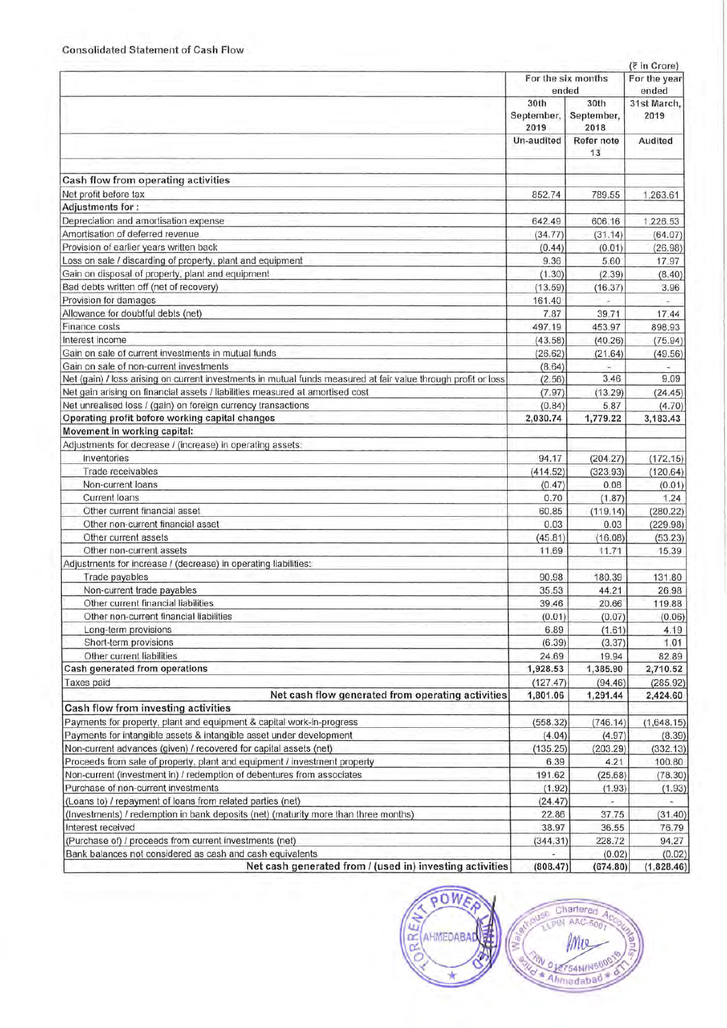|                                                                                                                       |                             |                            | (₹ in Crore)                   |
|-----------------------------------------------------------------------------------------------------------------------|-----------------------------|----------------------------|--------------------------------|
|                                                                                                                       | For the six months<br>ended | For the year<br>ended      |                                |
|                                                                                                                       | 30th<br>September,<br>2019  | 30th<br>September,<br>2018 | 31st March.<br>2019<br>Audited |
|                                                                                                                       | Un-audited                  | Refer note<br>13           |                                |
| <b>Cash flow from operating activities</b>                                                                            |                             |                            |                                |
| Net profit before tax                                                                                                 | 852.74                      | 789.55                     | 1,263.61                       |
| Adjustments for:                                                                                                      |                             |                            |                                |
| Depreciation and amortisation expense                                                                                 | 642.49                      | 606.16                     | 1,226.53                       |
| Amortisation of deferred revenue                                                                                      | (34.77)                     | (31.14)                    | (64.07)                        |
| Provision of earlier years written back                                                                               | (0.44)                      | (0.01)                     | (26.98)                        |
| Loss on sale / discarding of property, plant and equipment                                                            | 9.36                        | 5.60                       | 17.97                          |
| Gain on disposal of property, plant and equipment                                                                     | (1.30)                      | (2.39)                     | (8.40)                         |
| Bad debts written off (net of recovery)                                                                               | (13.59)                     | (16.37)                    | 3.96                           |
| Provision for damages                                                                                                 | 161.40                      |                            |                                |
| Allowance for doubtful debts (net)                                                                                    | 7.87                        | 39.71                      | 17.44                          |
| Finance costs                                                                                                         | 497.19                      | 453.97                     | 898.93                         |
| Interest income                                                                                                       | (43.58)                     | (40.26)                    | (75.94)                        |
| Gain on sale of current investments in mutual funds                                                                   | (26.62)                     | (21.64)                    | (49.56)                        |
| Gain on sale of non-current investments                                                                               | (8.64)                      | c                          | u                              |
| Net (gain) / loss arising on current investments in mutual funds measured at fair value through profit or loss        | (2.56)                      | 3.46                       | 9.09                           |
| Net gain arising on financial assets / liabilities measured at amortised cost                                         | (7.97)                      | (13.29)                    | (24.45)                        |
| Net unrealised loss / (gain) on foreign currency transactions<br>Operating profit before working capital changes      | (0.84)<br>2,030.74          | 5.87                       | (4.70)                         |
| Movement in working capital:                                                                                          |                             | 1,779.22                   | 3,183.43                       |
| Adjustments for decrease / (increase) in operating assets:                                                            |                             |                            |                                |
| Inventories                                                                                                           | 94.17                       | (204.27)                   | (172.15)                       |
| Trade receivables                                                                                                     | (414.52)                    | (323.93)                   | (120.64)                       |
| Non-current loans                                                                                                     | (0.47)                      | 0.08                       | (0.01)                         |
| Current Ioans                                                                                                         | 0.70                        | (1.87)                     | 1.24                           |
| Other current financial asset                                                                                         | 60.85                       | (119.14)                   | (280.22)                       |
| Other non-current financial asset                                                                                     | 0.03                        | 0.03                       | (229.98)                       |
| Other current assets                                                                                                  | (45.81)                     | (16.08)                    | (53.23)                        |
| Other non-current assets                                                                                              | 11.69                       | 11.71                      | 15.39                          |
| Adjustments for increase / (decrease) in operating liabilities:                                                       |                             |                            |                                |
| Trade payables                                                                                                        | 90.98                       | 180.39                     | 131.80                         |
| Non-current trade payables                                                                                            | 35.53                       | 44.21                      | 26.98                          |
| Other current financial liabilities                                                                                   | 39.46                       | 20.66                      | 119.88                         |
| Other non-current financial liabilities                                                                               | (0.01)                      | (0.07)                     | (0.06)                         |
| Long-term provisions                                                                                                  | 6.89                        | (1.61)                     | 4.19                           |
| Short-term provisions                                                                                                 | (6.39)                      | (3.37)                     | 1.01                           |
| Other current liabilities                                                                                             | 24.69                       | 19.94                      | 82.89                          |
| Cash generated from operations                                                                                        | 1,928.53                    | 1,385.90                   | 2,710.52                       |
| Taxes paid                                                                                                            | (127.47)                    | (94.46)                    | (285.92)                       |
| Net cash flow generated from operating activities                                                                     | 1,801.06                    | 1,291.44                   | 2,424.60                       |
| Cash flow from investing activities                                                                                   |                             |                            |                                |
| Payments for property, plant and equipment & capital work-in-progress                                                 | (558.32)                    | (746.14)                   | (1,648.15)                     |
| Payments for intangible assets & intangible asset under development                                                   | (4.04)                      | (4.97)                     | (8.39)                         |
| Non-current advances (given) / recovered for capital assets (net)                                                     | (135.25)                    | (203.29)                   | (332.13)                       |
| Proceeds from sale of property, plant and equipment / investment property                                             | 6.39                        | 4.21                       | 100.80                         |
| Non-current (investment in) / redemption of debentures from associates                                                | 191.62                      | (25.68)                    | (78.30)                        |
| Purchase of non-current investments                                                                                   | (1.92)                      | (1.93)                     | (1.93)                         |
| (Loans to) / repayment of loans from related parties (net)                                                            | (24.47)                     |                            | $\sim$                         |
| (Investments) / redemption in bank deposits (net) (maturity more than three months)                                   | 22.86                       | 37.75                      | (31.40)                        |
| Interest received                                                                                                     | 38.97                       | 36.55                      | 76.79                          |
| (Purchase of) / proceeds from current investments (net)                                                               | (344.31)                    | 228.72                     | 94.27                          |
| Bank balances not considered as cash and cash equivalents<br>Net cash generated from / (used in) investing activities |                             | (0.02)                     | (0.02)                         |
|                                                                                                                       | (808.47)                    | (674.80)                   | (1,828.46)                     |

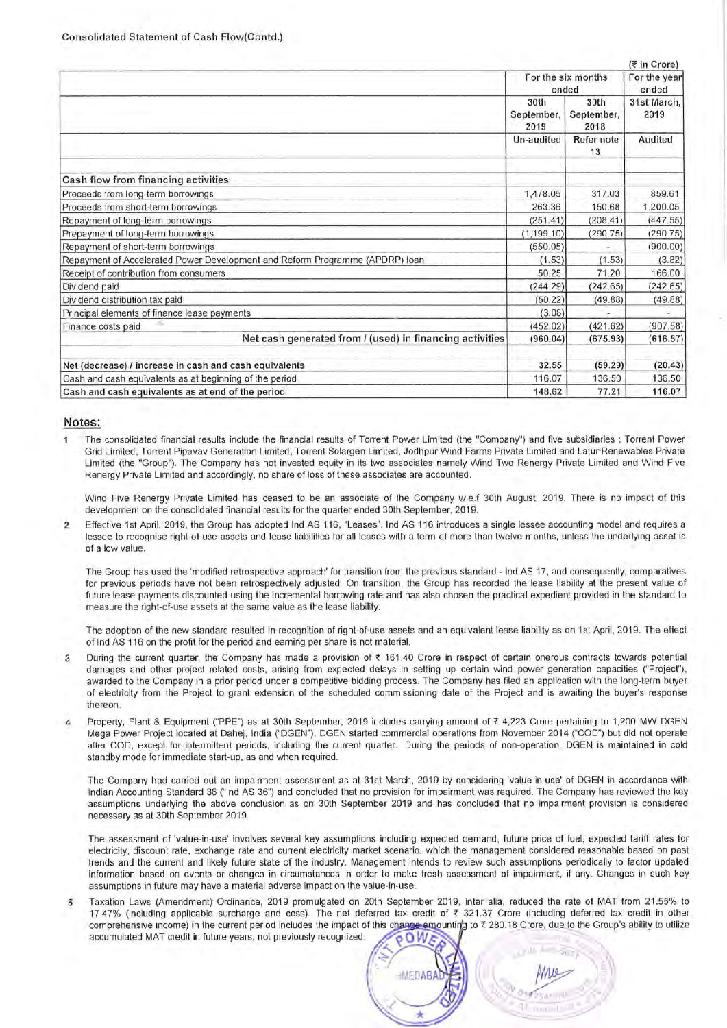|                                                                              |                                          |                                                | $($ ₹ in Crore)                |
|------------------------------------------------------------------------------|------------------------------------------|------------------------------------------------|--------------------------------|
|                                                                              | For the six months<br>ended              |                                                | For the year<br>ended          |
|                                                                              | 30th<br>September,<br>2019<br>Un-audited | 30th<br>September,<br>2018<br>Refer note<br>13 | 31st March.<br>2019<br>Audited |
|                                                                              |                                          |                                                |                                |
| Cash flow from financing activities                                          |                                          |                                                |                                |
| Proceeds from long-term borrowings                                           | 1,478.05                                 | 317.03                                         | 859.61                         |
| Proceeds from short-term borrowings                                          | 263.36                                   | 150.68                                         | 1,200.05                       |
| Repayment of long-term borrowings                                            | (251.41)                                 | (208.41)                                       | (447.55)                       |
| Prepayment of long-term borrowings                                           | (1, 199.10)                              | (290.75)                                       | (290.75)                       |
| Repayment of short-term borrowings                                           | (550.05)                                 |                                                | (900.00)                       |
| Repayment of Accelerated Power Development and Reform Programme (APDRP) loan | (1.53)                                   | (1.53)                                         | (3.82)                         |
| Receipt of contribution from consumers                                       | 50.25                                    | 71.20                                          | 166.00                         |
| Dividend paid                                                                | (244.29)                                 | (242.65)                                       | (242.65)                       |
| Dividend distribution tax paid                                               | (50.22)                                  | (49.88)                                        | (49.88)                        |
| Principal elements of finance lease payments                                 | (3.08)                                   |                                                |                                |
| Finance costs paid                                                           | (452.02)                                 | (421.62)                                       | (907.58)                       |
| Net cash generated from / (used) in financing activities                     | (960.04)                                 | (675.93)                                       | (616.57)                       |
| Net (decrease) / increase in cash and cash equivalents                       | 32.55                                    | (59.29)                                        | (20.43)                        |
| Cash and cash equivalents as at beginning of the period                      | 116.07                                   | 136.50                                         | 136.50                         |
| Cash and cash equivalents as at end of the period                            | 148.62                                   | 77.21                                          | 116.07                         |

### **Notes:**

The consolidated financial results include the financial results of Torrent Power Limited (the "Company") and five subsidiaries : Torrent Power 4 Grid Limited, Torrent Pipavav Generation Limited, Torrent Solargen Limited , Jodhpur Wind Farms Private Limited and Latur Renewables Private Limited (the "Group"). The Company has not invested equity in its two associates namely Wind Two Renergy Private Limited and Wind Five Renergy Private Limited and accordingly, no share of loss of these associates are accounted .

Wind Five Renergy Private Limited has ceased to be an associate of the Company w.e.f 30th August, 2019. There is no impact of this development on the consolidated financial results for the quarter ended 30th September, 2019.

2 Effective 1st April, 2019, the Group has adopted Ind AS 116, "Leases". Ind AS 116 introduces a single lessee accounting model and requires a lessee to recognise right-of-use assets and lease liabilities for all leases with a term of more than twelve months, unless the underlying asset is of a low value.

The Group has used the 'modified retrospective approach' for transition from the previous standard - Ind AS 17, and consequently, comparatives for previous periods have not been retrospectively adjusted. On transition, the Group has recorded the lease liability at the present value of future lease payments discounted using the incremental borrowing rate and has also chosen the practical expedient provided in the standard to measure the right-of-use assets at the same value as the lease liability.

The adoption of the new standard resulted in recognition of right-of-use assets and an equivalent lease liability as on 1st April , 2019. The effect of Ind AS 116 on the profit for the period and earning per share is not material.

- 3 During the current quarter, the Company has made a provision of ₹ 161.40 Crore in respect of certain onerous contracts towards potential damages and other project related costs , arising from expected delays in setting up certain wind power generation capacities ("Project"), awarded to the Company in a prior period under a competitive bidding process. The Company has filed an application with the long-term buyer of electricity from the Project to grant extension of the scheduled commissioning date of the Project and is awaiting the buyer's response thereon.
- 4 Property, Plant & Equipment ("PPE") as at 30th September, 2019 includes carrying amount of  $\bar{\tau}$  4,223 Crore pertaining to 1,200 MW DGEN Mega Power Project located at Dahej, India ("OGEN"). OGEN started commercial operations from November 2014 ("COD") but did not operate after COD, except for intermittent periods, including the current quarter. During the periods of non-operation, OGEN is maintained in cold standby mode for immediate start-up, as and when required.

The Company had carried out an impairment assessment as at 31st March, 2019 by considering 'value-in-use' of OGEN in accordance with Indian Accounting Standard 36 ("Ind AS 36") and concluded that no provision for impairment was required. The Company has reviewed the key assumptions underlying the above conclusion as on 30th September 2019 and has concluded that no impairment provision is considered necessary as at 30th September 2019.

The assessment of 'value-in-use' involves several key assumptions including expected demand, future price of fuel, expected tariff rates for electricity, discount rate , exchange rate and current electricity market scenario, which the management considered reasonable based on past trends and the current and likely future state of the industry. Management intends to review such assumptions periodically to factor updated information based on events or changes in circumstances in order to make fresh assessment of impairment, if any. Changes in such key assumptions in future may have a material adverse impact on the value-in-use.

5 Taxation Laws (Amendment) Ordinance, 2019 promulgated on 20th September 2019, inter alia, reduced the rate of MAT from 21.55% to 17.47% (including applicable surcharge and cess). The net deferred tax credit of ₹ 321.37 Crore (including deferred tax credit in other comprehensive income) in the current period includes the impact of this change amounting to  $\bar{\tau}$  280.18 Crore, due to the Group's ability to utilize accumulated MAT credit in future years, not previously recognized.  $\sim$  **O W** 

/-¢' *<i*